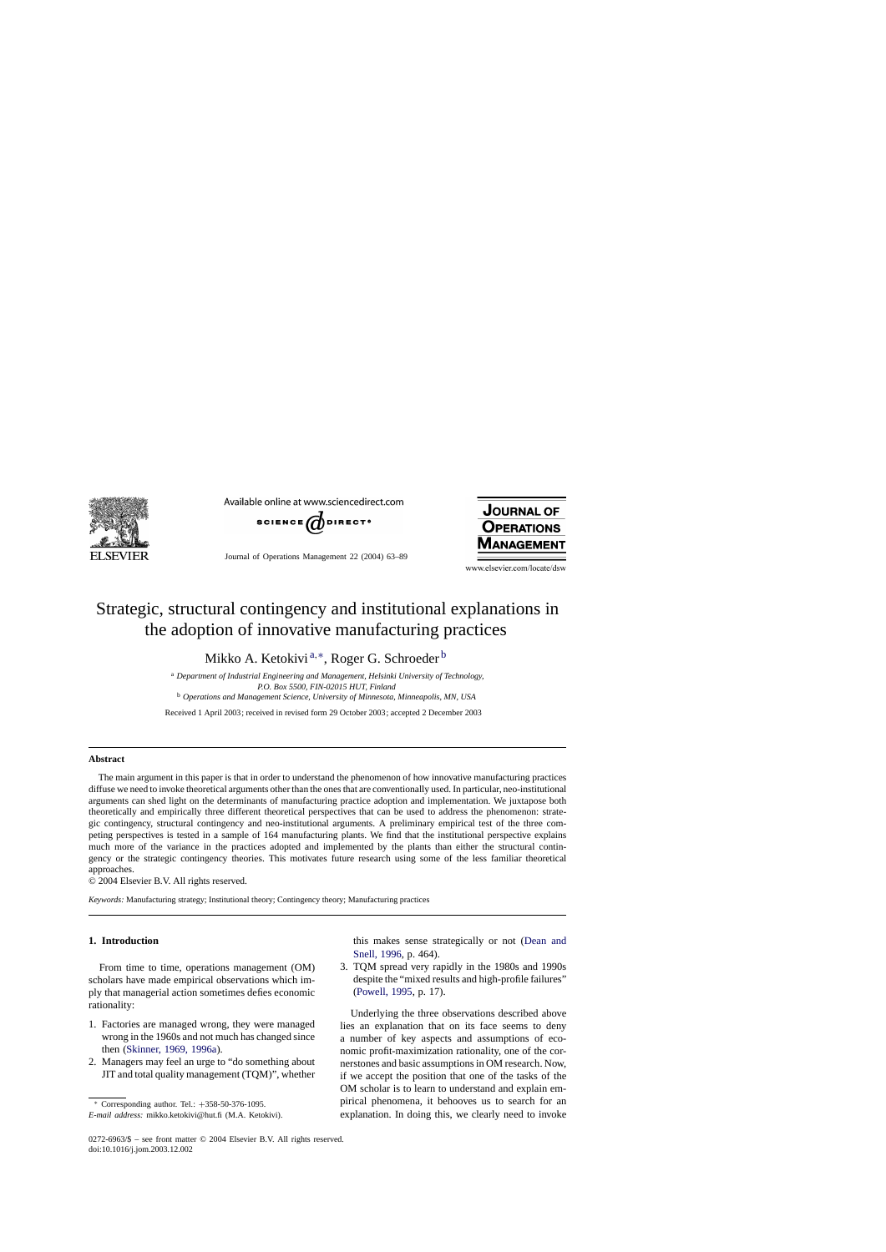

Available online at www.sciencedirect.com



Journal of Operations Management 22 (2004) 63–89



www.elsevier.com/locate/dsw

## Strategic, structural contingency and institutional explanations in the adoption of innovative manufacturing practices

Mikko A. Ketokivi<sup>a,∗</sup>, Roger G. Schroeder<sup>b</sup>

<sup>a</sup> *Department of Industrial Engineering and Management, Helsinki University of Technology, P.O. Box 5500, FIN-02015 HUT, Finland* <sup>b</sup> *Operations and Management Science, University of Minnesota, Minneapolis, MN, USA*

Received 1 April 2003; received in revised form 29 October 2003; accepted 2 December 2003

### **Abstract**

The main argument in this paper is that in order to understand the phenomenon of how innovative manufacturing practices diffuse we need to invoke theoretical arguments other than the ones that are conventionally used. In particular, neo-institutional arguments can shed light on the determinants of manufacturing practice adoption and implementation. We juxtapose both theoretically and empirically three different theoretical perspectives that can be used to address the phenomenon: strategic contingency, structural contingency and neo-institutional arguments. A preliminary empirical test of the three competing perspectives is tested in a sample of 164 manufacturing plants. We find that the institutional perspective explains much more of the variance in the practices adopted and implemented by the plants than either the structural contingency or the strategic contingency theories. This motivates future research using some of the less familiar theoretical approaches.

© 2004 Elsevier B.V. All rights reserved.

*Keywords:* Manufacturing strategy; Institutional theory; Contingency theory; Manufacturing practices

## **1. Introduction**

From time to time, operations management (OM) scholars have made empirical observations which imply that managerial action sometimes defies economic rationality:

- 1. Factories are managed wrong, they were managed wrong in the 1960s and not much has changed since then [\(Skinner, 1969, 1996a\).](#page--1-0)
- 2. Managers may feel an urge to "do something about JIT and total quality management (TQM)", whether

this makes sense strategically or not [\(Dean and](#page--1-0) [Snell, 1996,](#page--1-0) p. 464).

3. TQM spread very rapidly in the 1980s and 1990s despite the "mixed results and high-profile failures" [\(Powell, 1995,](#page--1-0) p. 17).

Underlying the three observations described above lies an explanation that on its face seems to deny a number of key aspects and assumptions of economic profit-maximization rationality, one of the cornerstones and basic assumptions in OM research. Now, if we accept the position that one of the tasks of the OM scholar is to learn to understand and explain empirical phenomena, it behooves us to search for an explanation. In doing this, we clearly need to invoke

<sup>∗</sup> Corresponding author. Tel.: +358-50-376-1095.

*E-mail address:* mikko.ketokivi@hut.fi (M.A. Ketokivi).

<sup>0272-6963/\$ –</sup> see front matter © 2004 Elsevier B.V. All rights reserved. doi:10.1016/j.jom.2003.12.002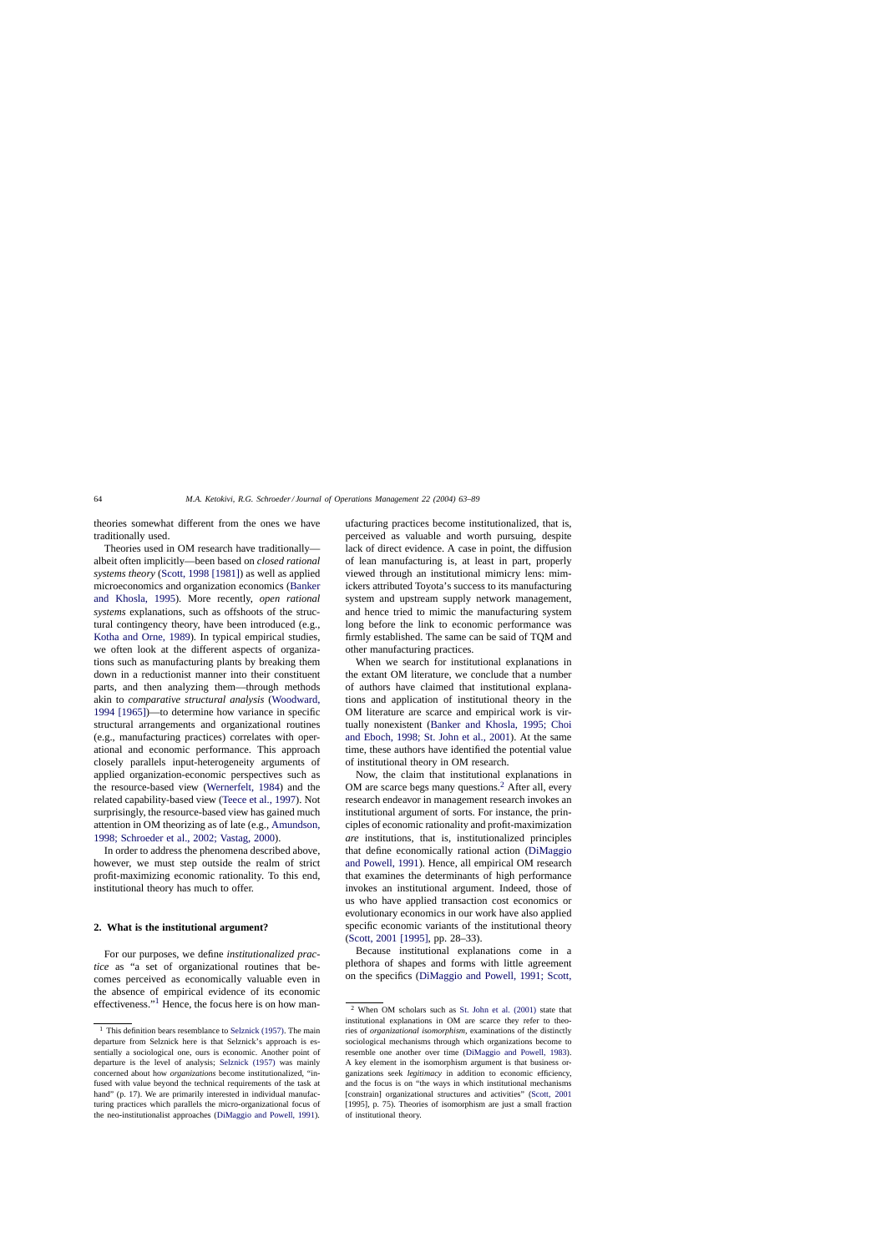theories somewhat different from the ones we have traditionally used.

Theories used in OM research have traditionally albeit often implicitly—been based on *closed rational systems theory* [\(Scott, 1998 \[1981\]\) a](#page--1-0)s well as applied microeconomics and organization economics ([Banker](#page--1-0) [and Khosla, 1995](#page--1-0)). More recently, *open rational systems* explanations, such as offshoots of the structural contingency theory, have been introduced (e.g., [Kotha and Orne, 1989\)](#page--1-0). In typical empirical studies, we often look at the different aspects of organizations such as manufacturing plants by breaking them down in a reductionist manner into their constituent parts, and then analyzing them—through methods akin to *comparative structural analysis* ([Woodward,](#page--1-0) [1994 \[1965\]\)—](#page--1-0)to determine how variance in specific structural arrangements and organizational routines (e.g., manufacturing practices) correlates with operational and economic performance. This approach closely parallels input-heterogeneity arguments of applied organization-economic perspectives such as the resource-based view ([Wernerfelt, 1984\)](#page--1-0) and the related capability-based view [\(Teece et al., 1997\).](#page--1-0) Not surprisingly, the resource-based view has gained much attention in OM theorizing as of late (e.g., [Amundson,](#page--1-0) [1998; Schroeder et al., 2002; Vastag, 2000\).](#page--1-0)

In order to address the phenomena described above, however, we must step outside the realm of strict profit-maximizing economic rationality. To this end, institutional theory has much to offer.

### **2. What is the institutional argument?**

For our purposes, we define *institutionalized practice* as "a set of organizational routines that becomes perceived as economically valuable even in the absence of empirical evidence of its economic effectiveness."<sup>1</sup> Hence, the focus here is on how manufacturing practices become institutionalized, that is, perceived as valuable and worth pursuing, despite lack of direct evidence. A case in point, the diffusion of lean manufacturing is, at least in part, properly viewed through an institutional mimicry lens: mimickers attributed Toyota's success to its manufacturing system and upstream supply network management, and hence tried to mimic the manufacturing system long before the link to economic performance was firmly established. The same can be said of TQM and other manufacturing practices.

When we search for institutional explanations in the extant OM literature, we conclude that a number of authors have claimed that institutional explanations and application of institutional theory in the OM literature are scarce and empirical work is virtually nonexistent [\(Banker and Khosla, 1995; Choi](#page--1-0) [and Eboch, 1998; St. John et al., 2001\)](#page--1-0). At the same time, these authors have identified the potential value of institutional theory in OM research.

Now, the claim that institutional explanations in OM are scarce begs many questions. $<sup>2</sup>$  After all, every</sup> research endeavor in management research invokes an institutional argument of sorts. For instance, the principles of economic rationality and profit-maximization *are* institutions, that is, institutionalized principles that define economically rational action ([DiMaggio](#page--1-0) [and Powell, 1991\).](#page--1-0) Hence, all empirical OM research that examines the determinants of high performance invokes an institutional argument. Indeed, those of us who have applied transaction cost economics or evolutionary economics in our work have also applied specific economic variants of the institutional theory ([Scott, 2001 \[1995\],](#page--1-0) pp. 28–33).

Because institutional explanations come in a plethora of shapes and forms with little agreement on the specifics ([DiMaggio and Powell, 1991; Scott,](#page--1-0)

 $1$  This definition bears resemblance to [Selznick \(1957\). T](#page--1-0)he main departure from Selznick here is that Selznick's approach is essentially a sociological one, ours is economic. Another point of departure is the level of analysis; [Selznick \(1957\)](#page--1-0) was mainly concerned about how *organizations* become institutionalized, "infused with value beyond the technical requirements of the task at hand" (p. 17). We are primarily interested in individual manufacturing practices which parallels the micro-organizational focus of the neo-institutionalist approaches [\(DiMaggio and Powell, 1991\).](#page--1-0)

<sup>2</sup> When OM scholars such as [St. John et al. \(2001\)](#page--1-0) state that institutional explanations in OM are scarce they refer to theories of *organizational isomorphism*, examinations of the distinctly sociological mechanisms through which organizations become to resemble one another over time ([DiMaggio and Powell, 1983\)](#page--1-0). A key element in the isomorphism argument is that business organizations seek *legitimacy* in addition to economic efficiency, and the focus is on "the ways in which institutional mechanisms [constrain] organizational structures and activities" [\(Scott, 2001](#page--1-0) [1995], p. 75). Theories of isomorphism are just a small fraction of institutional theory.